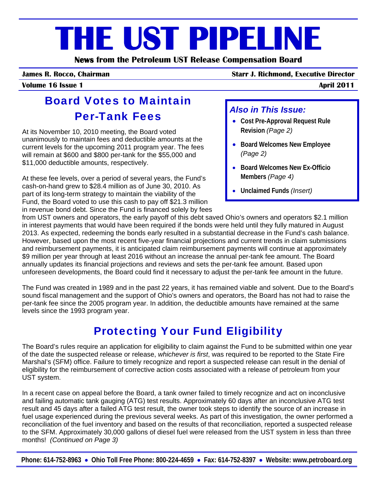# **THE UST PIPELINE**

**News from the Petroleum UST Release Compensation Board** 

#### **James R. Rocco, Chairman Starr J. Richmond, Executive Director**

#### **Volume 16 Issue 1**

#### Board Votes to Maintain Per-Tank Fees

At its November 10, 2010 meeting, the Board voted unanimously to maintain fees and deductible amounts at the current levels for the upcoming 2011 program year. The fees will remain at \$600 and \$800 per-tank for the \$55,000 and \$11,000 deductible amounts, respectively.

At these fee levels, over a period of several years, the Fund's cash-on-hand grew to \$28.4 million as of June 30, 2010. As part of its long-term strategy to maintain the viability of the Fund, the Board voted to use this cash to pay off \$21.3 million in revenue bond debt. Since the Fund is financed solely by fees

#### *Also in This Issue:*

- **Cost Pre-Approval Request Rule Revision** *(Page 2)*
- **Board Welcomes New Employee** *(Page 2)*
- **Board Welcomes New Ex-Officio Members** *(Page 4)*
- **Unclaimed Funds** *(Insert)*

from UST owners and operators, the early payoff of this debt saved Ohio's owners and operators \$2.1 million in interest payments that would have been required if the bonds were held until they fully matured in August 2013. As expected, redeeming the bonds early resulted in a substantial decrease in the Fund's cash balance. However, based upon the most recent five-year financial projections and current trends in claim submissions and reimbursement payments, it is anticipated claim reimbursement payments will continue at approximately \$9 million per year through at least 2016 without an increase the annual per-tank fee amount. The Board annually updates its financial projections and reviews and sets the per-tank fee amount. Based upon unforeseen developments, the Board could find it necessary to adjust the per-tank fee amount in the future.

The Fund was created in 1989 and in the past 22 years, it has remained viable and solvent. Due to the Board's sound fiscal management and the support of Ohio's owners and operators, the Board has not had to raise the per-tank fee since the 2005 program year. In addition, the deductible amounts have remained at the same levels since the 1993 program year.

# Protecting Your Fund Eligibility

The Board's rules require an application for eligibility to claim against the Fund to be submitted within one year of the date the suspected release or release, *whichever is first*, was required to be reported to the State Fire Marshal's (SFM) office. Failure to timely recognize and report a suspected release can result in the denial of eligibility for the reimbursement of corrective action costs associated with a release of petroleum from your UST system.

In a recent case on appeal before the Board, a tank owner failed to timely recognize and act on inconclusive and failing automatic tank gauging (ATG) test results. Approximately 60 days after an inconclusive ATG test result and 45 days after a failed ATG test result, the owner took steps to identify the source of an increase in fuel usage experienced during the previous several weeks. As part of this investigation, the owner performed a reconciliation of the fuel inventory and based on the results of that reconciliation, reported a suspected release to the SFM. Approximately 30,000 gallons of diesel fuel were released from the UST system in less than three months! *(Continued on Page 3)*

**Phone: 614-752-8963** • **Ohio Toll Free Phone: 800-224-4659** • **Fax: 614-752-8397** • **Website: www.petroboard.org**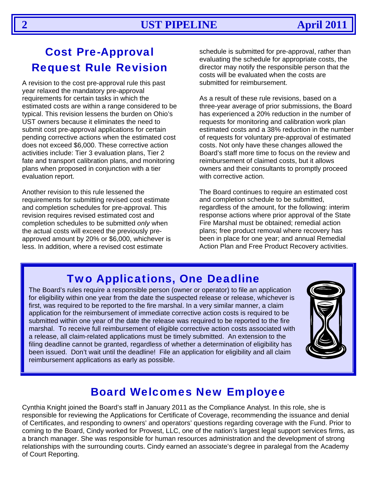# Cost Pre-Approval Request Rule Revision

A revision to the cost pre-approval rule this past submitted for reimbursement. year relaxed the mandatory pre-approval requirements for certain tasks in which the estimated costs are within a range considered to be typical. This revision lessens the burden on Ohio's UST owners because it eliminates the need to submit cost pre-approval applications for certain pending corrective actions when the estimated cost does not exceed \$6,000. These corrective action activities include: Tier 3 evaluation plans, Tier 2 fate and transport calibration plans, and monitoring plans when proposed in conjunction with a tier evaluation report.

Another revision to this rule lessened the requirements for submitting revised cost estimate and completion schedules for pre-approval. This revision requires revised estimated cost and completion schedules to be submitted *only* when the actual costs will exceed the previously preapproved amount by 20% or \$6,000, whichever is less. In addition, where a revised cost estimate

schedule is submitted for pre-approval, rather than evaluating the schedule for appropriate costs, the director may notify the responsible person that the costs will be evaluated when the costs are

As a result of these rule revisions, based on a three-year average of prior submissions, the Board has experienced a 20% reduction in the number of requests for monitoring and calibration work plan estimated costs and a 38% reduction in the number of requests for voluntary pre-approval of estimated costs. Not only have these changes allowed the Board's staff more time to focus on the review and reimbursement of claimed costs, but it allows owners and their consultants to promptly proceed with corrective action.

The Board continues to require an estimated cost and completion schedule to be submitted, regardless of the amount, for the following: interim response actions where prior approval of the State Fire Marshal must be obtained; remedial action plans; free product removal where recovery has been in place for one year; and annual Remedial Action Plan and Free Product Recovery activities.

## Two Applications, One Deadline

The Board's rules require a responsible person (owner or operator) to file an application for eligibility within one year from the date the suspected release or release, whichever is first, was required to be reported to the fire marshal. In a very similar manner, a claim application for the reimbursement of immediate corrective action costs is required to be submitted within one year of the date the release was required to be reported to the fire marshal. To receive full reimbursement of eligible corrective action costs associated with a release, all claim-related applications must be timely submitted. An extension to the filing deadline cannot be granted, regardless of whether a determination of eligibility has been issued. Don't wait until the deadline! File an application for eligibility and all claim reimbursement applications as early as possible.



### Board Welcomes New Employee

Cynthia Knight joined the Board's staff in January 2011 as the Compliance Analyst. In this role, she is responsible for reviewing the Applications for Certificate of Coverage, recommending the issuance and denial of Certificates, and responding to owners' and operators' questions regarding coverage with the Fund. Prior to coming to the Board, Cindy worked for Provest, LLC, one of the nation's largest legal support services firms, as a branch manager. She was responsible for human resources administration and the development of strong relationships with the surrounding courts. Cindy earned an associate's degree in paralegal from the Academy of Court Reporting.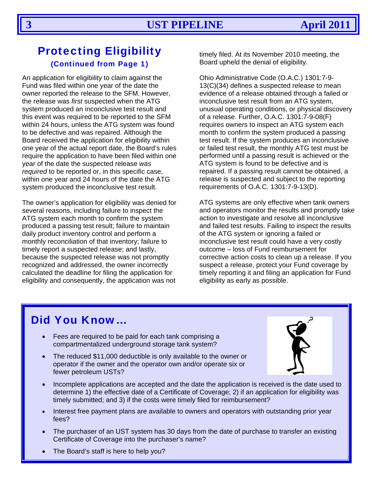#### Protecting Eligibility (Continued from Page 1)

An application for eligibility to claim against the Fund was filed within one year of the date the owner reported the release to the SFM. However, the release was *first* suspected when the ATG system produced an inconclusive test result and this event was required to be reported to the SFM within 24 hours, unless the ATG system was found to be defective and was repaired. Although the Board received the application for eligibility within one year of the actual report date, the Board's rules require the application to have been filed within one year of the date the suspected release *was required* to be reported or, in this specific case, within one year and 24 hours of the date the ATG system produced the inconclusive test result.

The owner's application for eligibility was denied for several reasons, including failure to inspect the ATG system each month to confirm the system produced a passing test result; failure to maintain daily product inventory control and perform a monthly reconciliation of that inventory; failure to timely report a suspected release; and lastly, because the suspected release was not promptly recognized and addressed, the owner incorrectly calculated the deadline for filing the application for eligibility and consequently, the application was not

timely filed. At its November 2010 meeting, the Board upheld the denial of eligibility.

Ohio Administrative Code (O.A.C.) 1301:7-9- 13(C)(34) defines a suspected release to mean evidence of a release obtained through a failed or inconclusive test result from an ATG system, unusual operating conditions, or physical discovery of a release. Further, O.A.C. 1301:7-9-08(F) requires owners to inspect an ATG system each month to confirm the system produced a passing test result. If the system produces an inconclusive or failed test result, the monthly ATG test must be performed until a passing result is achieved or the ATG system is found to be defective and is repaired. If a passing result cannot be obtained, a release is suspected and subject to the reporting requirements of O.A.C. 1301:7-9-13(D).

ATG systems are only effective when tank owners and operators monitor the results and promptly take action to investigate and resolve all inconclusive and failed test results. Failing to inspect the results of the ATG system or ignoring a failed or inconclusive test result could have a very costly outcome – loss of Fund reimbursement for corrective action costs to clean up a release. If you suspect a release, protect your Fund coverage by timely reporting it and filing an application for Fund eligibility as early as possible.

#### Did You Know…

- Fees are required to be paid for each tank comprising a compartmentalized underground storage tank system?
- The reduced \$11,000 deductible is only available to the owner or operator if the owner and the operator own and/or operate six or fewer petroleum USTs?



- Incomplete applications are accepted and the date the application is received is the date used to determine 1) the effective date of a Certificate of Coverage; 2) if an application for eligibility was timely submitted; and 3) if the costs were timely filed for reimbursement?
- Interest free payment plans are available to owners and operators with outstanding prior year fees?
- The purchaser of an UST system has 30 days from the date of purchase to transfer an existing Certificate of Coverage into the purchaser's name?
- The Board's staff is here to help you?